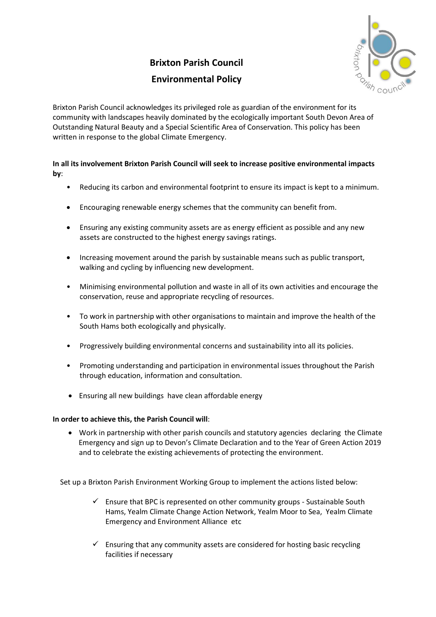## **Brixton Parish Council Environmental Policy**

Brixton Parish Council acknowledges its privileged role as guardian of the environment for its community with landscapes heavily dominated by the ecologically important South Devon Area of Outstanding Natural Beauty and a Special Scientific Area of Conservation. This policy has been written in response to the global Climate Emergency.

## **In all its involvement Brixton Parish Council will seek to increase positive environmental impacts by**:

- Reducing its carbon and environmental footprint to ensure its impact is kept to a minimum.
- Encouraging renewable energy schemes that the community can benefit from.
- Ensuring any existing community assets are as energy efficient as possible and any new assets are constructed to the highest energy savings ratings.
- Increasing movement around the parish by sustainable means such as public transport, walking and cycling by influencing new development.
- Minimising environmental pollution and waste in all of its own activities and encourage the conservation, reuse and appropriate recycling of resources.
- To work in partnership with other organisations to maintain and improve the health of the South Hams both ecologically and physically.
- Progressively building environmental concerns and sustainability into all its policies.
- Promoting understanding and participation in environmental issues throughout the Parish through education, information and consultation.
- Ensuring all new buildings have clean affordable energy

## **In order to achieve this, the Parish Council will**:

• Work in partnership with other parish councils and statutory agencies declaring the Climate Emergency and sign up to Devon's Climate Declaration and to the Year of Green Action 2019 and to celebrate the existing achievements of protecting the environment.

Set up a Brixton Parish Environment Working Group to implement the actions listed below:

- $\checkmark$  Ensure that BPC is represented on other community groups Sustainable South Hams, Yealm Climate Change Action Network, Yealm Moor to Sea, Yealm Climate Emergency and Environment Alliance etc
- $\checkmark$  Ensuring that any community assets are considered for hosting basic recycling facilities if necessary